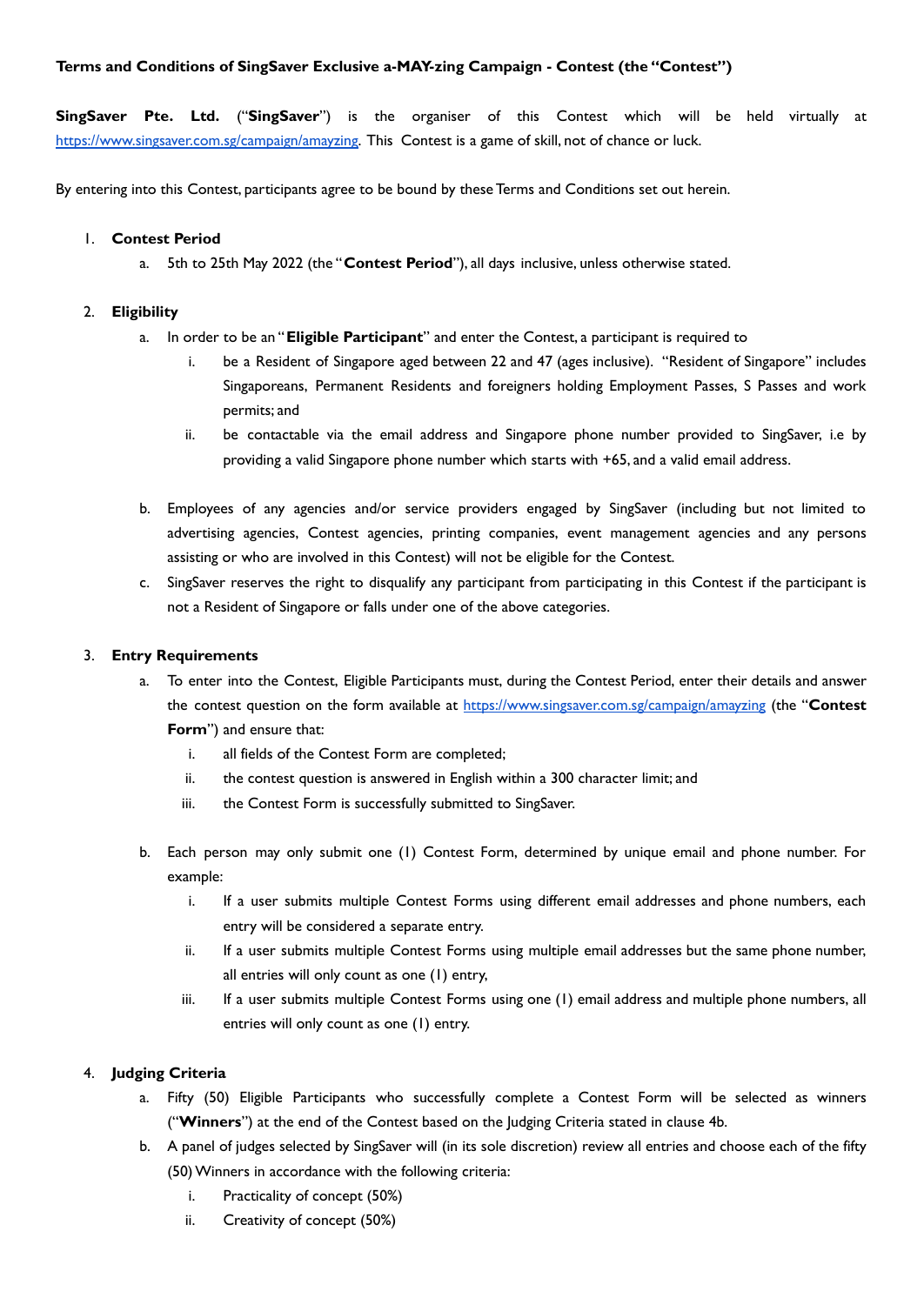# **Terms and Conditions of SingSaver Exclusive a-MAY-zing Campaign - Contest (the "Contest")**

**SingSaver Pte. Ltd.** ("**SingSaver**") is the organiser of this Contest which will be held virtually at [https://www.singsaver.com.sg/campaign/amayzing](https://promotions.singsaver.com.sg/amayzing). This Contest is a game of skill, not of chance or luck.

By entering into this Contest, participants agree to be bound by these Terms and Conditions set out herein.

### 1. **Contest Period**

a. 5th to 25th May 2022 (the "**Contest Period**"), all days inclusive, unless otherwise stated.

### 2. **Eligibility**

- a. In order to be an "**Eligible Participant**" and enter the Contest, a participant is required to
	- i. be a Resident of Singapore aged between 22 and 47 (ages inclusive). "Resident of Singapore" includes Singaporeans, Permanent Residents and foreigners holding Employment Passes, S Passes and work permits; and
	- ii. be contactable via the email address and Singapore phone number provided to SingSaver, i.e by providing a valid Singapore phone number which starts with +65, and a valid email address.
- b. Employees of any agencies and/or service providers engaged by SingSaver (including but not limited to advertising agencies, Contest agencies, printing companies, event management agencies and any persons assisting or who are involved in this Contest) will not be eligible for the Contest.
- c. SingSaver reserves the right to disqualify any participant from participating in this Contest if the participant is not a Resident of Singapore or falls under one of the above categories.

### 3. **Entry Requirements**

- a. To enter into the Contest, Eligible Participants must, during the Contest Period, enter their details and answer the contest question on the form available at [https://www.singsaver.com.sg/campaign/amayzing](https://promotions.singsaver.com.sg/amayzing) (the "**Contest Form**") and ensure that:
	- i. all fields of the Contest Form are completed;
	- ii. the contest question is answered in English within a 300 character limit; and
	- iii. the Contest Form is successfully submitted to SingSaver.
- b. Each person may only submit one (1) Contest Form, determined by unique email and phone number. For example:
	- i. If a user submits multiple Contest Forms using different email addresses and phone numbers, each entry will be considered a separate entry.
	- ii. If a user submits multiple Contest Forms using multiple email addresses but the same phone number, all entries will only count as one (1) entry,
	- iii. If a user submits multiple Contest Forms using one (1) email address and multiple phone numbers, all entries will only count as one (1) entry.

## 4. **Judging Criteria**

- a. Fifty (50) Eligible Participants who successfully complete a Contest Form will be selected as winners ("**Winners**") at the end of the Contest based on the Judging Criteria stated in clause 4b.
- b. A panel of judges selected by SingSaver will (in its sole discretion) review all entries and choose each of the fifty (50)Winners in accordance with the following criteria:
	- i. Practicality of concept (50%)
	- ii. Creativity of concept (50%)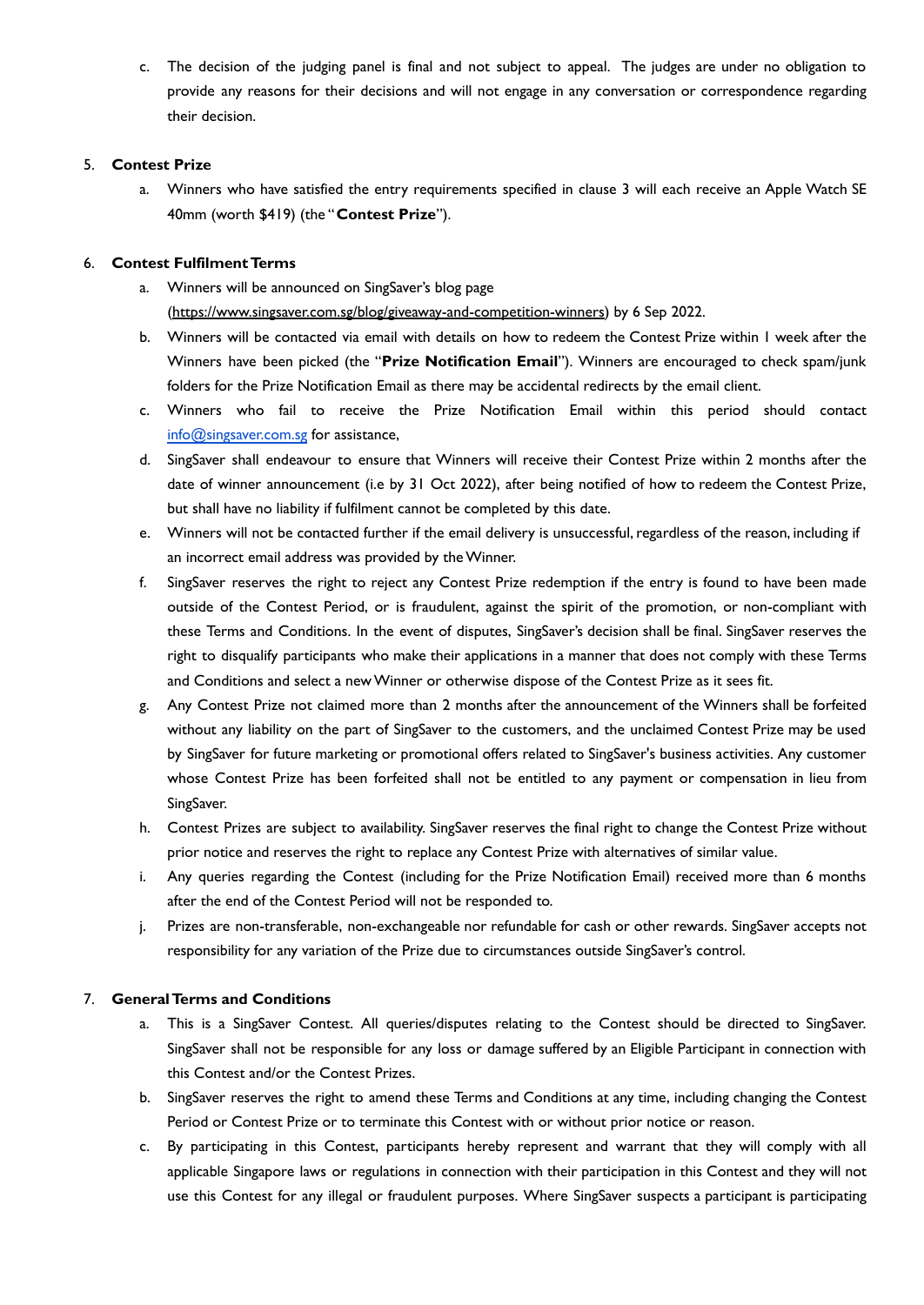c. The decision of the judging panel is final and not subject to appeal. The judges are under no obligation to provide any reasons for their decisions and will not engage in any conversation or correspondence regarding their decision.

### 5. **Contest Prize**

a. Winners who have satisfied the entry requirements specified in clause 3 will each receive an Apple Watch SE 40mm (worth \$419) (the "**Contest Prize**").

### 6. **Contest FulfilmentTerms**

- a. Winners will be announced on SingSaver's blog page [\(https://www.singsaver.com.sg/blog/giveaway-and-competition-winners](https://www.singsaver.com.sg/blog/giveaway-and-competition-winners)) by 6 Sep 2022.
- b. Winners will be contacted via email with details on how to redeem the Contest Prize within 1 week after the Winners have been picked (the "**Prize Notification Email**"). Winners are encouraged to check spam/junk folders for the Prize Notification Email as there may be accidental redirects by the email client.
- c. Winners who fail to receive the Prize Notification Email within this period should contact [info@singsaver.com.sg](mailto:info@singsaver.com.sg) for assistance,
- d. SingSaver shall endeavour to ensure that Winners will receive their Contest Prize within 2 months after the date of winner announcement (i.e by 31 Oct 2022), after being notified of how to redeem the Contest Prize, but shall have no liability if fulfilment cannot be completed by this date.
- e. Winners will not be contacted further if the email delivery is unsuccessful, regardless of the reason, including if an incorrect email address was provided by theWinner.
- f. SingSaver reserves the right to reject any Contest Prize redemption if the entry is found to have been made outside of the Contest Period, or is fraudulent, against the spirit of the promotion, or non-compliant with these Terms and Conditions. In the event of disputes, SingSaver's decision shall be final. SingSaver reserves the right to disqualify participants who make their applications in a manner that does not comply with these Terms and Conditions and select a newWinner or otherwise dispose of the Contest Prize as it sees fit.
- g. Any Contest Prize not claimed more than 2 months after the announcement of the Winners shall be forfeited without any liability on the part of SingSaver to the customers, and the unclaimed Contest Prize may be used by SingSaver for future marketing or promotional offers related to SingSaver's business activities. Any customer whose Contest Prize has been forfeited shall not be entitled to any payment or compensation in lieu from SingSaver.
- h. Contest Prizes are subject to availability. SingSaver reserves the final right to change the Contest Prize without prior notice and reserves the right to replace any Contest Prize with alternatives of similar value.
- i. Any queries regarding the Contest (including for the Prize Notification Email) received more than 6 months after the end of the Contest Period will not be responded to.
- j. Prizes are non-transferable, non-exchangeable nor refundable for cash or other rewards. SingSaver accepts not responsibility for any variation of the Prize due to circumstances outside SingSaver's control.

## 7. **GeneralTerms and Conditions**

- a. This is a SingSaver Contest. All queries/disputes relating to the Contest should be directed to SingSaver. SingSaver shall not be responsible for any loss or damage suffered by an Eligible Participant in connection with this Contest and/or the Contest Prizes.
- b. SingSaver reserves the right to amend these Terms and Conditions at any time, including changing the Contest Period or Contest Prize or to terminate this Contest with or without prior notice or reason.
- c. By participating in this Contest, participants hereby represent and warrant that they will comply with all applicable Singapore laws or regulations in connection with their participation in this Contest and they will not use this Contest for any illegal or fraudulent purposes. Where SingSaver suspects a participant is participating